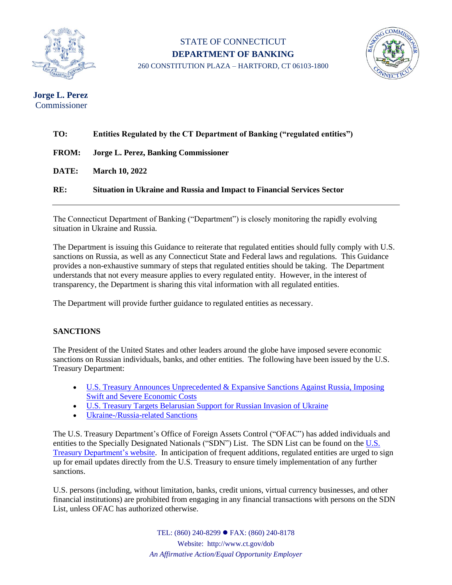

## STATE OF CONNECTICUT **DEPARTMENT OF BANKING** 260 CONSTITUTION PLAZA – HARTFORD, CT 06103-1800



**Jorge L. Perez** Commissioner

| TO:          | Entities Regulated by the CT Department of Banking ("regulated entities") |
|--------------|---------------------------------------------------------------------------|
| <b>FROM:</b> | Jorge L. Perez, Banking Commissioner                                      |
| DATE:        | <b>March 10, 2022</b>                                                     |
| RE:          | Situation in Ukraine and Russia and Impact to Financial Services Sector   |

The Connecticut Department of Banking ("Department") is closely monitoring the rapidly evolving situation in Ukraine and Russia.

The Department is issuing this Guidance to reiterate that regulated entities should fully comply with U.S. sanctions on Russia, as well as any Connecticut State and Federal laws and regulations. This Guidance provides a non-exhaustive summary of steps that regulated entities should be taking. The Department understands that not every measure applies to every regulated entity. However, in the interest of transparency, the Department is sharing this vital information with all regulated entities.

The Department will provide further guidance to regulated entities as necessary.

## **SANCTIONS**

The President of the United States and other leaders around the globe have imposed severe economic sanctions on Russian individuals, banks, and other entities. The following have been issued by the U.S. Treasury Department:

- U.S. Treasury Announces [Unprecedented](https://home.treasury.gov/news/press-releases/jy0608) & Expansive Sanctions Against Russia, Imposing Swift [and Severe Economic](https://home.treasury.gov/news/press-releases/jy0608) Costs
- U.S. Treasury Targets [Belarusian](https://home.treasury.gov/news/press-releases/jy0607) Support for Russian Invasion of Ukraine
- [Ukraine-/Russia-related](https://home.treasury.gov/policy-issues/financial-sanctions/sanctions-programs-and-country-information/ukraine-russia-related-sanctions) Sanctions

The U.S. Treasury Department's Office of Foreign Assets Control ("OFAC") has added individuals and entities to the Specially Designated Nationals ("SDN") List. The SDN List can be found on the [U.S.](https://home.treasury.gov/policy-issues/financial-sanctions/recent-actions)  Treasury [Department's](https://home.treasury.gov/policy-issues/financial-sanctions/recent-actions) website. In anticipation of frequent additions, regulated entities are urged to sign up for email updates directly from the U.S. Treasury to ensure timely implementation of any further sanctions.

U.S. persons (including, without limitation, banks, credit unions, virtual currency businesses, and other financial institutions) are prohibited from engaging in any financial transactions with persons on the SDN List, unless OFAC has authorized otherwise.

> TEL: (860) 240-8299 ⚫ FAX: (860) 240-8178 Website: http://www.ct.gov/dob *An Affirmative Action/Equal Opportunity Employer*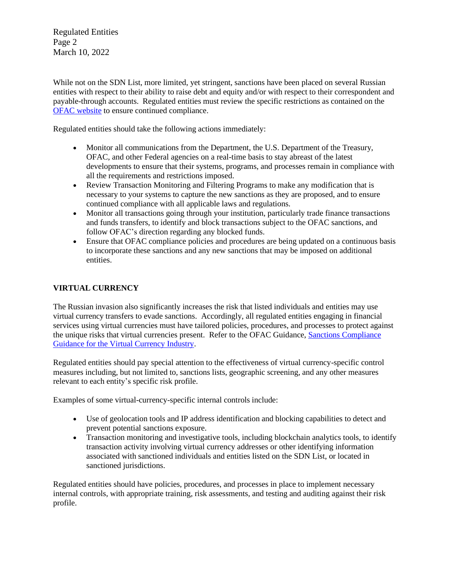Regulated Entities Page 2 March 10, 2022

While not on the SDN List, more limited, yet stringent, sanctions have been placed on several Russian entities with respect to their ability to raise debt and equity and/or with respect to their correspondent and payable-through accounts. Regulated entities must review the specific restrictions as contained on the OFAC [website](https://home.treasury.gov/policy-issues/office-of-foreign-assets-control-sanctions-programs-and-information) to ensure continued compliance.

Regulated entities should take the following actions immediately:

- Monitor all communications from the Department, the U.S. Department of the Treasury, OFAC, and other Federal agencies on a real-time basis to stay abreast of the latest developments to ensure that their systems, programs, and processes remain in compliance with all the requirements and restrictions imposed.
- Review Transaction Monitoring and Filtering Programs to make any modification that is necessary to your systems to capture the new sanctions as they are proposed, and to ensure continued compliance with all applicable laws and regulations.
- Monitor all transactions going through your institution, particularly trade finance transactions and funds transfers, to identify and block transactions subject to the OFAC sanctions, and follow OFAC's direction regarding any blocked funds.
- Ensure that OFAC compliance policies and procedures are being updated on a continuous basis to incorporate these sanctions and any new sanctions that may be imposed on additional entities.

## **VIRTUAL CURRENCY**

The Russian invasion also significantly increases the risk that listed individuals and entities may use virtual currency transfers to evade sanctions. Accordingly, all regulated entities engaging in financial services using virtual currencies must have tailored policies, procedures, and processes to protect against the unique risks that virtual currencies present. Refer to the OFAC Guidance, [Sanctions Compliance](https://home.treasury.gov/system/files/126/virtual_currency_guidance_brochure.pdf) Guidance for the Virtual [Currency Industry.](https://home.treasury.gov/system/files/126/virtual_currency_guidance_brochure.pdf)

Regulated entities should pay special attention to the effectiveness of virtual currency-specific control measures including, but not limited to, sanctions lists, geographic screening, and any other measures relevant to each entity's specific risk profile.

Examples of some virtual-currency-specific internal controls include:

- Use of geolocation tools and IP address identification and blocking capabilities to detect and prevent potential sanctions exposure.
- Transaction monitoring and investigative tools, including blockchain analytics tools, to identify transaction activity involving virtual currency addresses or other identifying information associated with sanctioned individuals and entities listed on the SDN List, or located in sanctioned jurisdictions.

Regulated entities should have policies, procedures, and processes in place to implement necessary internal controls, with appropriate training, risk assessments, and testing and auditing against their risk profile.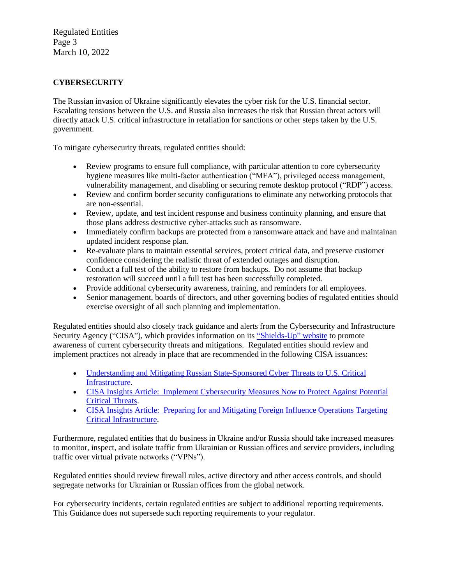Regulated Entities Page 3 March 10, 2022

## **CYBERSECURITY**

The Russian invasion of Ukraine significantly elevates the cyber risk for the U.S. financial sector. Escalating tensions between the U.S. and Russia also increases the risk that Russian threat actors will directly attack U.S. critical infrastructure in retaliation for sanctions or other steps taken by the U.S. government.

To mitigate cybersecurity threats, regulated entities should:

- Review programs to ensure full compliance, with particular attention to core cybersecurity hygiene measures like multi-factor authentication ("MFA"), privileged access management, vulnerability management, and disabling or securing remote desktop protocol ("RDP") access.
- Review and confirm border security configurations to eliminate any networking protocols that are non-essential.
- Review, update, and test incident response and business continuity planning, and ensure that those plans address destructive cyber-attacks such as ransomware.
- Immediately confirm backups are protected from a ransomware attack and have and maintainan updated incident response plan.
- Re-evaluate plans to maintain essential services, protect critical data, and preserve customer confidence considering the realistic threat of extended outages and disruption.
- Conduct a full test of the ability to restore from backups. Do not assume that backup restoration will succeed until a full test has been successfully completed.
- Provide additional cybersecurity awareness, training, and reminders for all employees.
- Senior management, boards of directors, and other governing bodies of regulated entities should exercise oversight of all such planning and implementation.

Regulated entities should also closely track guidance and alerts from the Cybersecurity and Infrastructure Security Agency ("CISA"), which provides information on its ["Shields-Up"](https://www.cisa.gov/shields-up) website to promote awareness of current cybersecurity threats and mitigations. Regulated entities should review and implement practices not already in place that are recommended in the following CISA issuances:

- Understanding and Mitigating Russian [State-Sponsored](https://www.cisa.gov/uscert/sites/default/files/publications/AA22-011A_Joint_CSA_Understanding_and_Mitigating%20_Russian_Cyber_Threats_to_US_Critical_Infrastructure_TLP-WHITE_01-10-22_v1.pdf) Cyber Threats to U.S. Critical [Infrastructure.](https://www.cisa.gov/uscert/sites/default/files/publications/AA22-011A_Joint_CSA_Understanding_and_Mitigating%20_Russian_Cyber_Threats_to_US_Critical_Infrastructure_TLP-WHITE_01-10-22_v1.pdf)
- CISA Insights Article: Implement [Cybersecurity](https://www.cisa.gov/sites/default/files/publications/CISA_Insights-Implement_Cybersecurity_Measures_Now_to_Protect_Against_Critical_Threats_508C.pdf) Measures Now to Protect Against Potential Critical [Threats.](https://www.cisa.gov/sites/default/files/publications/CISA_Insights-Implement_Cybersecurity_Measures_Now_to_Protect_Against_Critical_Threats_508C.pdf)
- [CISA Insights Article: Preparing](https://www.cisa.gov/sites/default/files/publications/cisa_insight_mitigating_foreign_influence_508.pdf) for and Mitigating Foreign Influence Operations Targeting Critical [Infrastructure.](https://www.cisa.gov/sites/default/files/publications/cisa_insight_mitigating_foreign_influence_508.pdf)

Furthermore, regulated entities that do business in Ukraine and/or Russia should take increased measures to monitor, inspect, and isolate traffic from Ukrainian or Russian offices and service providers, including traffic over virtual private networks ("VPNs").

Regulated entities should review firewall rules, active directory and other access controls, and should segregate networks for Ukrainian or Russian offices from the global network.

For cybersecurity incidents, certain regulated entities are subject to additional reporting requirements. This Guidance does not supersede such reporting requirements to your regulator.